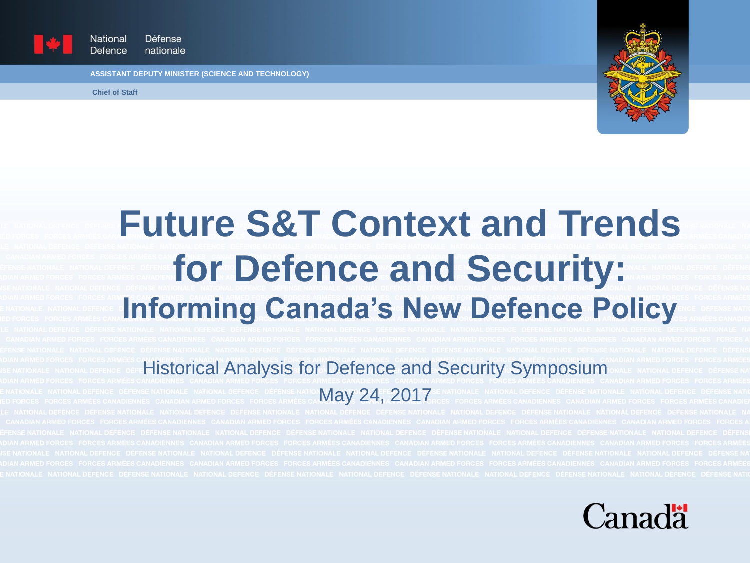

National Défense Defence nationale

**ASSISTANT DEPUTY MINISTER (SCIENCE AND TECHNOLOGY)**

**Chief of Staff**



# **Future S&T Context and Trends for Defence and Security: Informing Canada's New Defence Policy**

#### Historical Analysis for Defence and Security Symposium

May 24, 2017

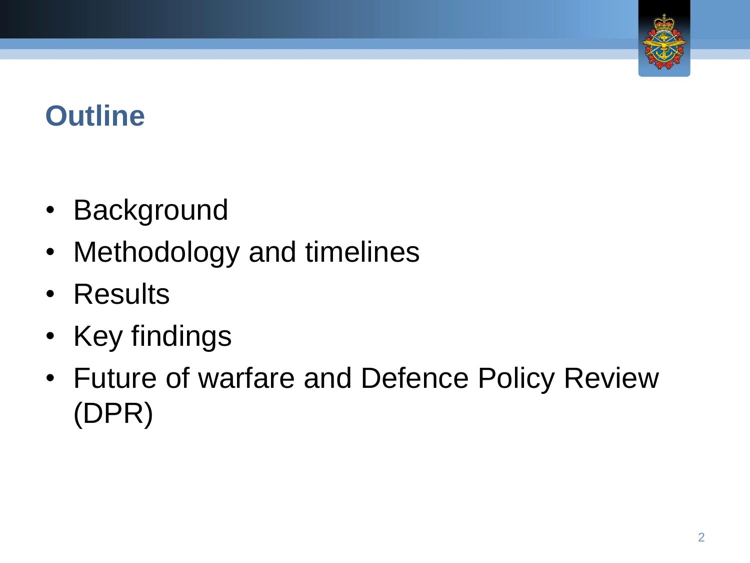

#### **Outline**

- Background
- Methodology and timelines
- Results
- Key findings
- Future of warfare and Defence Policy Review (DPR)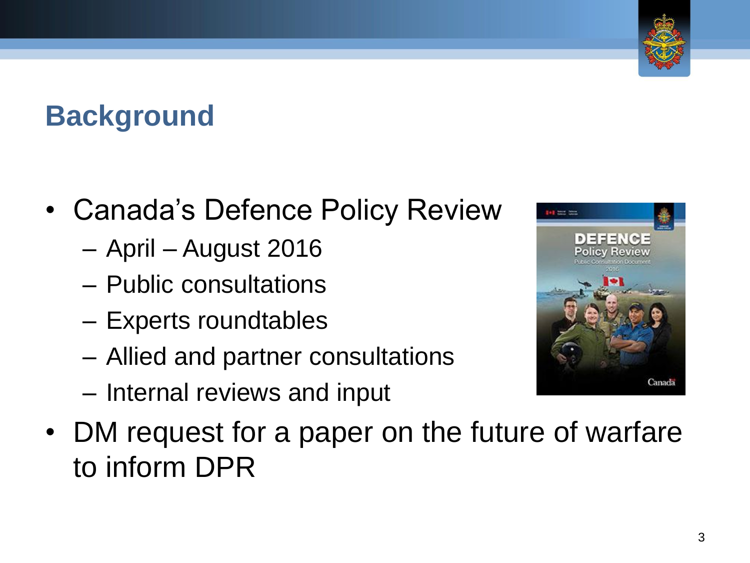

#### **Background**

- Canada's Defence Policy Review
	- April August 2016
	- Public consultations
	- Experts roundtables
	- Allied and partner consultations
	- Internal reviews and input



• DM request for a paper on the future of warfare to inform DPR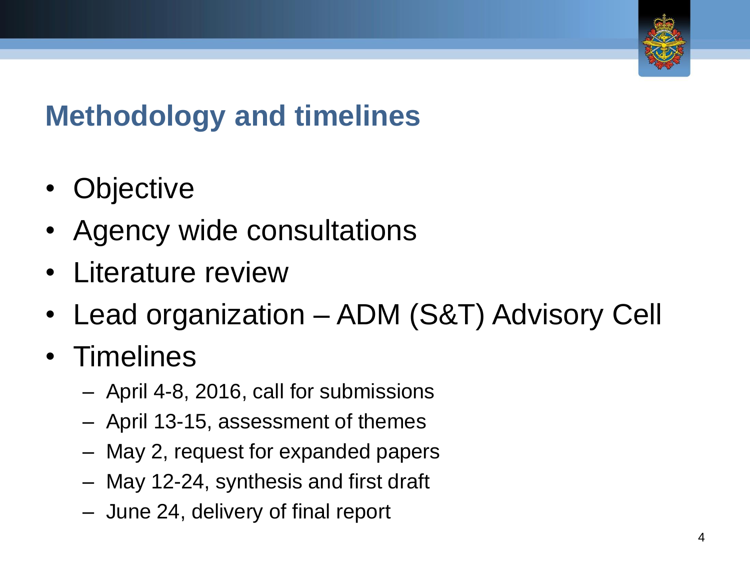

## **Methodology and timelines**

- Objective
- Agency wide consultations
- Literature review
- Lead organization ADM (S&T) Advisory Cell
- Timelines
	- April 4-8, 2016, call for submissions
	- April 13-15, assessment of themes
	- May 2, request for expanded papers
	- May 12-24, synthesis and first draft
	- June 24, delivery of final report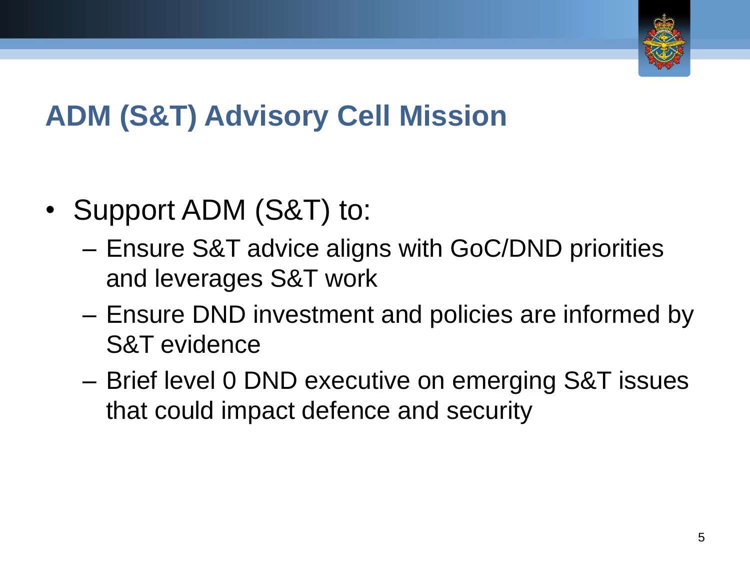

## **ADM (S&T) Advisory Cell Mission**

- Support ADM (S&T) to:
	- Ensure S&T advice aligns with GoC/DND priorities and leverages S&T work
	- Ensure DND investment and policies are informed by S&T evidence
	- Brief level 0 DND executive on emerging S&T issues that could impact defence and security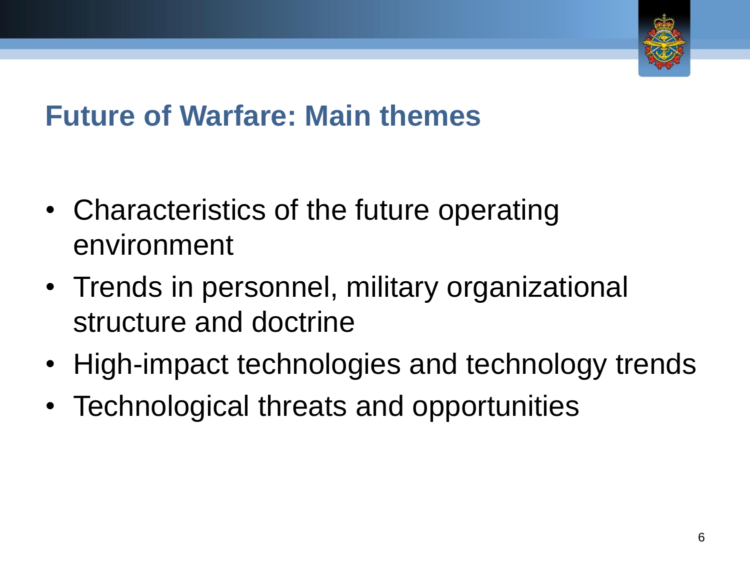

#### **Future of Warfare: Main themes**

- Characteristics of the future operating environment
- Trends in personnel, military organizational structure and doctrine
- High-impact technologies and technology trends
- Technological threats and opportunities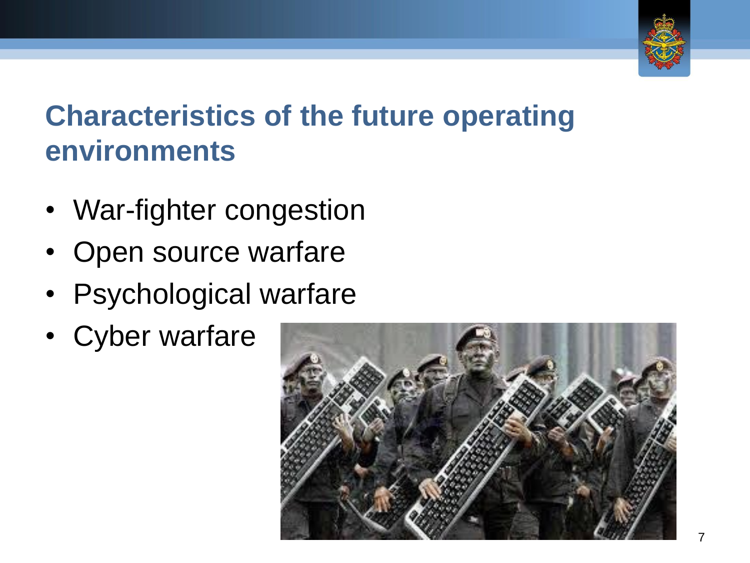

#### **Characteristics of the future operating environments**

- War-fighter congestion
- Open source warfare
- Psychological warfare
- Cyber warfare

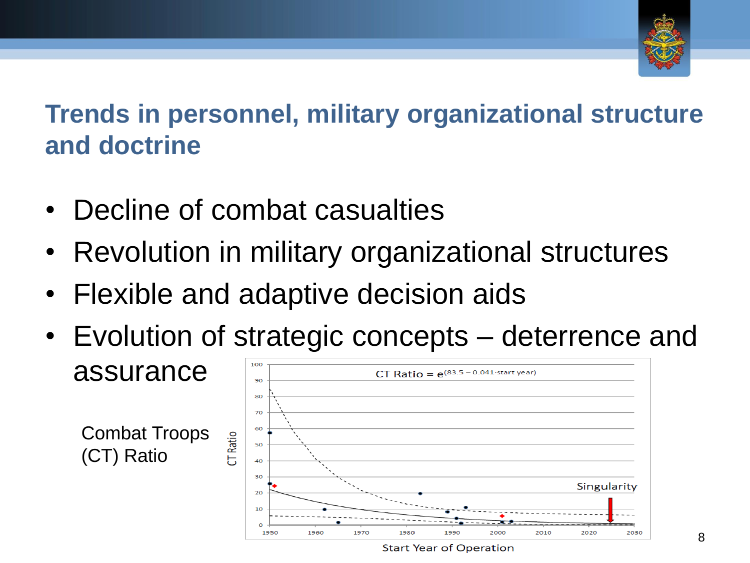

**Trends in personnel, military organizational structure and doctrine**

- Decline of combat casualties
- Revolution in military organizational structures
- Flexible and adaptive decision aids
- Evolution of strategic concepts deterrence and 100

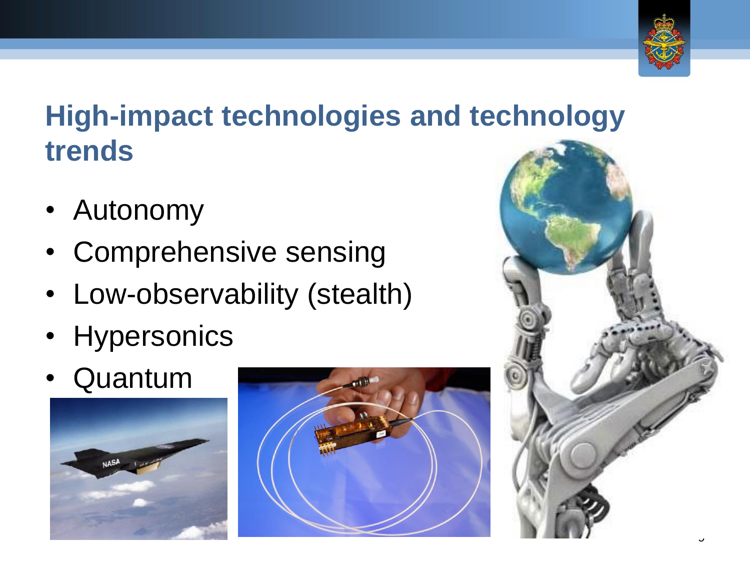

#### **High-impact technologies and technology trends**

- Autonomy
- Comprehensive sensing
- Low-observability (stealth)
- Hypersonics
- Quantum





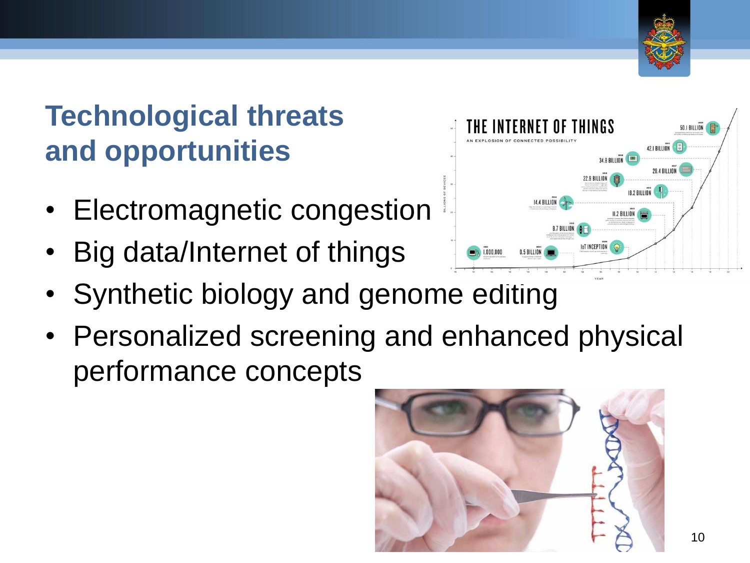

#### **Technological threats and opportunities**

- Electromagnetic congestion
- Big data/Internet of things
- Synthetic biology and genome editing
- Personalized screening and enhanced physical performance concepts



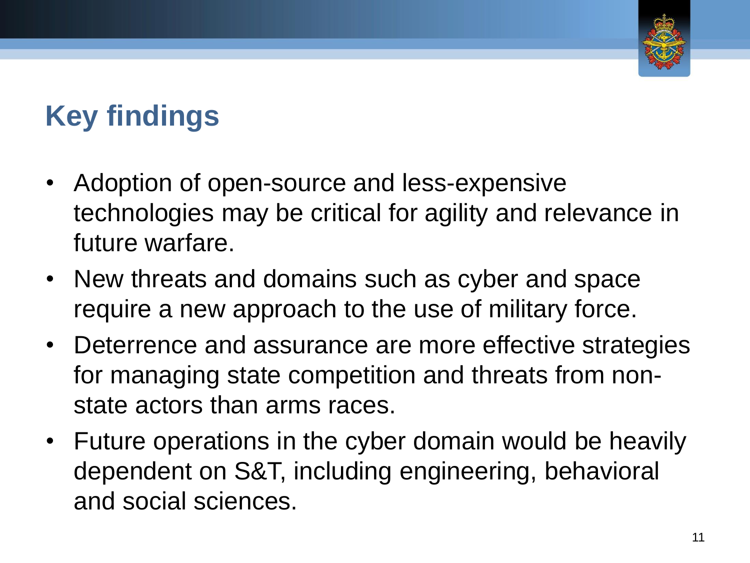

## **Key findings**

- Adoption of open-source and less-expensive technologies may be critical for agility and relevance in future warfare.
- New threats and domains such as cyber and space require a new approach to the use of military force.
- Deterrence and assurance are more effective strategies for managing state competition and threats from nonstate actors than arms races.
- Future operations in the cyber domain would be heavily dependent on S&T, including engineering, behavioral and social sciences.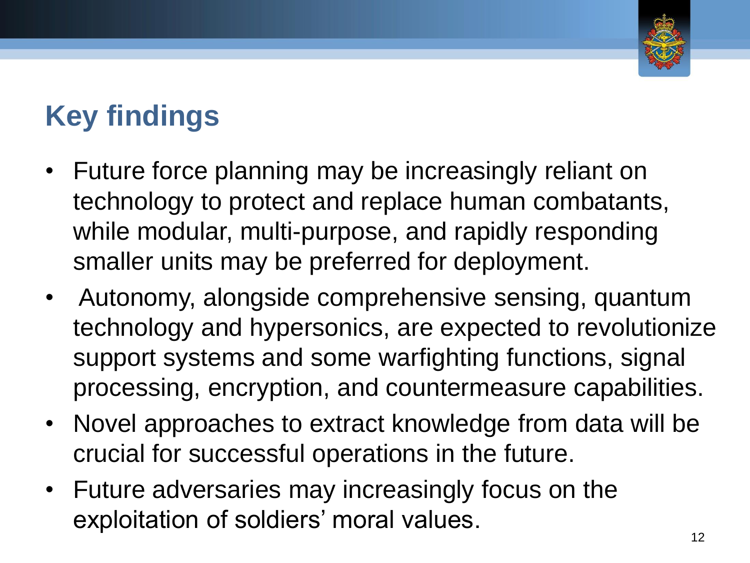

# **Key findings**

- Future force planning may be increasingly reliant on technology to protect and replace human combatants, while modular, multi-purpose, and rapidly responding smaller units may be preferred for deployment.
- Autonomy, alongside comprehensive sensing, quantum technology and hypersonics, are expected to revolutionize support systems and some warfighting functions, signal processing, encryption, and countermeasure capabilities.
- Novel approaches to extract knowledge from data will be crucial for successful operations in the future.
- Future adversaries may increasingly focus on the exploitation of soldiers' moral values.